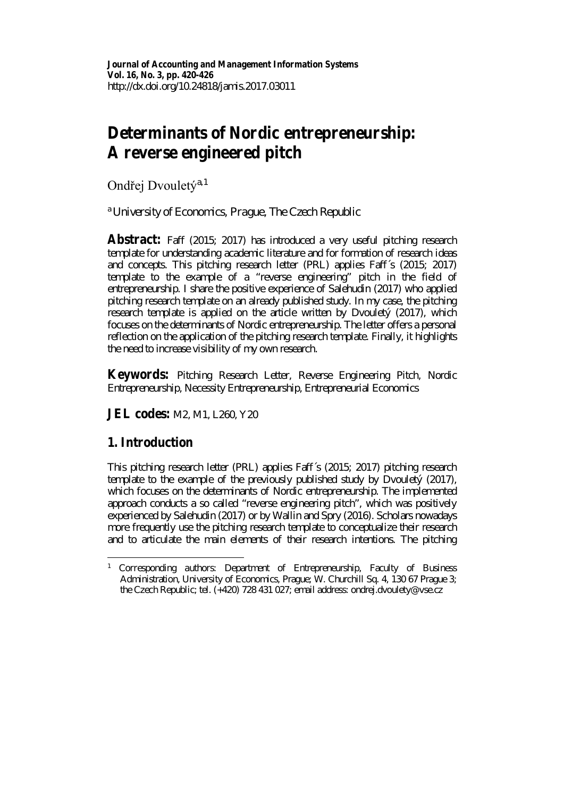# **Determinants of Nordic entrepreneurship: A reverse engineered pitch**

Ondřej Dvouletý<sup>a, [1](#page-0-0)</sup>

<sup>a</sup>*University of Economics, Prague, The Czech Republic*

**Abstract:** Faff (2015; 2017) has introduced a very useful pitching research template for understanding academic literature and for formation of research ideas and concepts. This pitching research letter (PRL) applies Faff´s (2015; 2017) template to the example of a "reverse engineering" pitch in the field of entrepreneurship. I share the positive experience of Salehudin (2017) who applied pitching research template on an already published study. In my case, the pitching research template is applied on the article written by Dvouletý (2017), which focuses on the determinants of Nordic entrepreneurship. The letter offers a personal reflection on the application of the pitching research template. Finally, it highlights the need to increase visibility of my own research.

**Keywords:** Pitching Research Letter, Reverse Engineering Pitch, Nordic Entrepreneurship, Necessity Entrepreneurship, Entrepreneurial Economics

**JEL codes:** M2, M1, L260, Y20

### **1. Introduction**

This pitching research letter (PRL) applies Faff´s (2015; 2017) pitching research template to the example of the previously published study by Dvouletý (2017), which focuses on the determinants of Nordic entrepreneurship. The implemented approach conducts a so called "reverse engineering pitch", which was positively experienced by Salehudin (2017) or by Wallin and Spry (2016). Scholars nowadays more frequently use the pitching research template to conceptualize their research and to articulate the main elements of their research intentions. The pitching

<span id="page-0-0"></span><sup>1</sup> *Corresponding authors*: Department of Entrepreneurship, Faculty of Business Administration, University of Economics, Prague; W. Churchill Sq. 4, 130 67 Prague 3; the Czech Republic; tel. (+420) 728 431 027; email address: ondrej.dvoulety@vse.cz  $\overline{a}$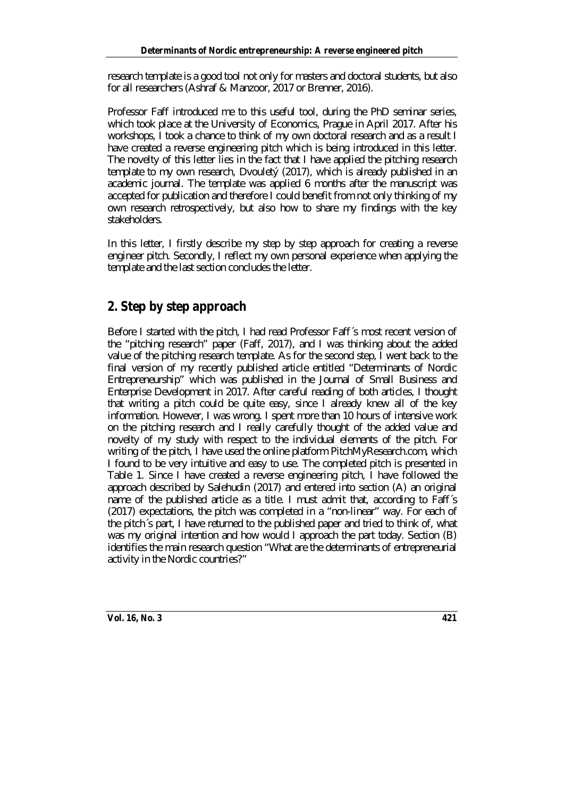research template is a good tool not only for masters and doctoral students, but also for all researchers (Ashraf & Manzoor, 2017 or Brenner, 2016).

Professor Faff introduced me to this useful tool, during the PhD seminar series, which took place at the University of Economics, Prague in April 2017. After his workshops, I took a chance to think of my own doctoral research and as a result I have created a reverse engineering pitch which is being introduced in this letter. The novelty of this letter lies in the fact that I have applied the pitching research template to my own research, Dvouletý (2017), which is already published in an academic journal. The template was applied 6 months after the manuscript was accepted for publication and therefore I could benefit from not only thinking of my own research retrospectively, but also how to share my findings with the key stakeholders.

In this letter, I firstly describe my step by step approach for creating a reverse engineer pitch. Secondly, I reflect my own personal experience when applying the template and the last section concludes the letter.

## **2. Step by step approach**

Before I started with the pitch, I had read Professor Faff´s most recent version of the "pitching research" paper (Faff, 2017), and I was thinking about the added value of the pitching research template. As for the second step, I went back to the final version of my recently published article entitled "Determinants of Nordic Entrepreneurship" which was published in the Journal of Small Business and Enterprise Development in 2017. After careful reading of both articles, I thought that writing a pitch could be quite easy, since I already knew all of the key information. However, I was wrong. I spent more than 10 hours of intensive work on the pitching research and I really carefully thought of the added value and novelty of my study with respect to the individual elements of the pitch. For writing of the pitch, I have used the online platform PitchMyResearch.com, which I found to be very intuitive and easy to use. The completed pitch is presented in Table 1. Since I have created a reverse engineering pitch, I have followed the approach described by Salehudin (2017) and entered into section (A) an original name of the published article as a title. I must admit that, according to Faff´s (2017) expectations, the pitch was completed in a "non-linear" way. For each of the pitch´s part, I have returned to the published paper and tried to think of, what was my original intention and how would I approach the part today. Section (B) identifies the main research question "What are the determinants of entrepreneurial activity in the Nordic countries?"

**Vol. 16, No. 3 421**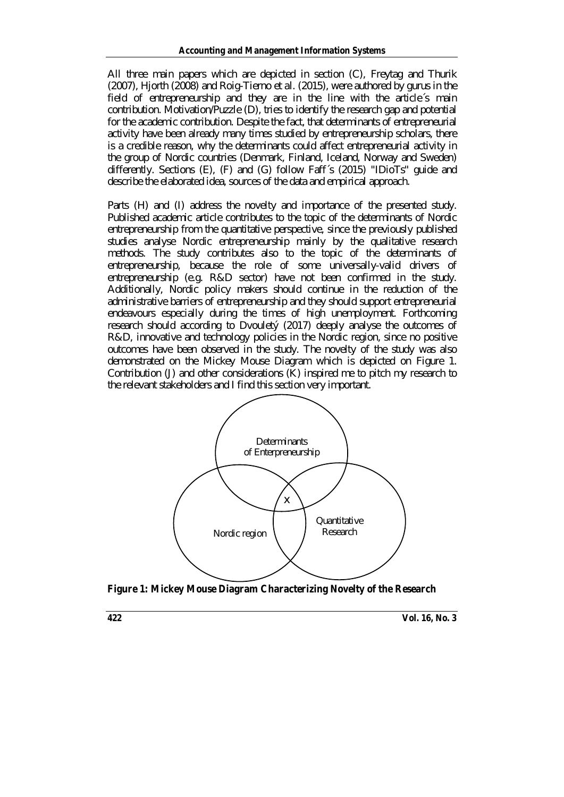All three main papers which are depicted in section (C), Freytag and Thurik (2007), Hjorth (2008) and Roig-Tierno *et al*. (2015), were authored by gurus in the field of entrepreneurship and they are in the line with the article´s main contribution. Motivation/Puzzle (D), tries to identify the research gap and potential for the academic contribution. Despite the fact, that determinants of entrepreneurial activity have been already many times studied by entrepreneurship scholars, there is a credible reason, why the determinants could affect entrepreneurial activity in the group of Nordic countries (Denmark, Finland, Iceland, Norway and Sweden) differently. Sections (E), (F) and (G) follow Faff´s (2015) "IDioTs" guide and describe the elaborated idea, sources of the data and empirical approach.

Parts (H) and (I) address the novelty and importance of the presented study. Published academic article contributes to the topic of the determinants of Nordic entrepreneurship from the quantitative perspective, since the previously published studies analyse Nordic entrepreneurship mainly by the qualitative research methods. The study contributes also to the topic of the determinants of entrepreneurship, because the role of some universally-valid drivers of entrepreneurship (e.g. R&D sector) have not been confirmed in the study. Additionally, Nordic policy makers should continue in the reduction of the administrative barriers of entrepreneurship and they should support entrepreneurial endeavours especially during the times of high unemployment. Forthcoming research should according to Dvouletý (2017) deeply analyse the outcomes of R&D, innovative and technology policies in the Nordic region, since no positive outcomes have been observed in the study. The novelty of the study was also demonstrated on the Mickey Mouse Diagram which is depicted on Figure 1. Contribution (J) and other considerations (K) inspired me to pitch my research to the relevant stakeholders and I find this section very important.



**Figure 1: Mickey Mouse Diagram Characterizing Novelty of the Research**

**422 Vol. 16, No. 3**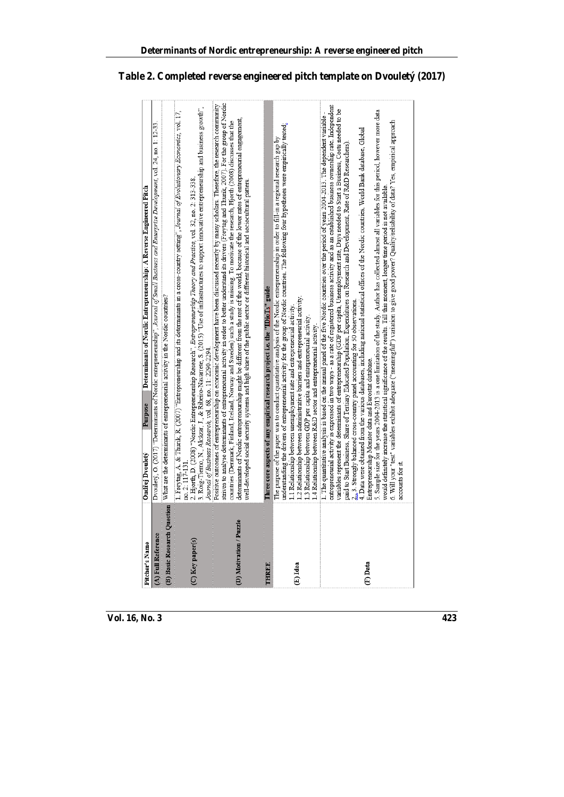| no. 2: 117-131.<br>(B) Basic Research Question<br>(D) Motivation / Puzzle<br>(A) Full Reference<br>(C) Key paper(s) | strives to analyse determinants of entrepreneurial activity in order to better understand its drivers (Freytag and Thurik, 2007). For the group of Nordic<br>Positive outcomes of entrepreneurship on economic development have been discussed recently by many scholars. Therefore, the research community<br>2. Hjorth, D. (2008) "Nordic Entrepreneurship Research", <i>Entrepreneurship Theory and Practice</i> , vol. 32, no. 2: 313-338.<br>3. Roig-Tierno, N., Alcázar, J., & Ribeiro-Navarrete, S. (2015) "Use of infrastructures to support<br>1. Freytag, A. & Thurik, R. (2007) "Entrepreneurship and its determinants in a cross-country setting", Journal of Bvolutionary Economics, vol. 17,<br>determinants of Nordic entrepreneurship might be different from the rest of the world, because of the lower rates of entrepreneurial engagement,<br>countries (Denmark, Finland, Iceland, Norway and Sweden) such a study is missing. To motivate the research, Hjorth (2008) discusses that the<br>Dvoulety, O. (2017) "Determinants of Nordic entrepreneurship", Journal of Small Business and Enterprise Development, vol. 24, no. 1: 12-33.<br>What are the determinants of entrepreneurial activity in the Nordic countries?<br>Journal of Business Research, vol. 68, no. 11: 2290-2294.                                       |
|---------------------------------------------------------------------------------------------------------------------|----------------------------------------------------------------------------------------------------------------------------------------------------------------------------------------------------------------------------------------------------------------------------------------------------------------------------------------------------------------------------------------------------------------------------------------------------------------------------------------------------------------------------------------------------------------------------------------------------------------------------------------------------------------------------------------------------------------------------------------------------------------------------------------------------------------------------------------------------------------------------------------------------------------------------------------------------------------------------------------------------------------------------------------------------------------------------------------------------------------------------------------------------------------------------------------------------------------------------------------------------------------------------------------------------------------------------------------------------|
|                                                                                                                     |                                                                                                                                                                                                                                                                                                                                                                                                                                                                                                                                                                                                                                                                                                                                                                                                                                                                                                                                                                                                                                                                                                                                                                                                                                                                                                                                                    |
|                                                                                                                     |                                                                                                                                                                                                                                                                                                                                                                                                                                                                                                                                                                                                                                                                                                                                                                                                                                                                                                                                                                                                                                                                                                                                                                                                                                                                                                                                                    |
|                                                                                                                     |                                                                                                                                                                                                                                                                                                                                                                                                                                                                                                                                                                                                                                                                                                                                                                                                                                                                                                                                                                                                                                                                                                                                                                                                                                                                                                                                                    |
|                                                                                                                     | well-developed social security systems and high share of the public sector or different historical and sociocultural patters.                                                                                                                                                                                                                                                                                                                                                                                                                                                                                                                                                                                                                                                                                                                                                                                                                                                                                                                                                                                                                                                                                                                                                                                                                      |
| <b>THREE</b>                                                                                                        | Three core aspects of any empirical research project i.e. the "IDioIS" guide                                                                                                                                                                                                                                                                                                                                                                                                                                                                                                                                                                                                                                                                                                                                                                                                                                                                                                                                                                                                                                                                                                                                                                                                                                                                       |
| (E) Idea                                                                                                            | understanding the drivers of entrepreneurial activity for the group of Nordic countries. The following four hypotheses were empirically tested;<br>The purpose of the paper was to conduct quantitative analysis of the Nordic entrepreneurship in order to fill-in a regional research gap by<br>1.2 Relationship between administrative barriers and entrepreneurial activity.<br>1.1 Relationship between unemployment rate and entrepreneurial activity<br>1.3 Relationship between GDP per capita and entrepreneurial activity<br>1.4 Relationship between R&D sector and entrepreneurial activity.                                                                                                                                                                                                                                                                                                                                                                                                                                                                                                                                                                                                                                                                                                                                           |
| accounts for it.<br>(F) Data                                                                                        | entrepreneurial activity is expressed in two ways - as a rate of registered business activity and as an established business ownership rate. Independent<br>variables represent the determinants of entrepreneurship (GDP per capita, Unemployment rate, Days needed to Start a Business, Costs needed to be<br>5. Sample size for the years 2004-2013 is a one limitation of the study. Author has collected almost all variables for this period, however more data<br>1. The quantitative analysis is based on the annual panel of the five Nordic countries over the period of years $2004-2013$ . The dependent variable -<br>6. Will your "test" variables exhibit adequate ("meaningful") variation to give good power? Quality/reliability of data? Yes, empirical approach<br>4. Data were obtained from the various databases, including national statistical offices of the Nordic countries, World Bank database, Global<br>paid to Start Business, Share of Tertiary Educated Population, Expenditures on Research and Development, Rate of R&D Researchers)<br>would definitely increase the statistical significance of the results. Till this moment, longer time period is not available.<br>2., 3. Strongly balanced cross-country panel accounting for 50 observations.<br>Entrepreneurship Monitor data and Eurostat database. |

#### **Table 2. Completed reverse engineered pitch template on Dvouletý (2017)**

**Determinants of Nordic entrepreneurship: A reverse engineered pitch**

**Vol. 16, No. 3 423**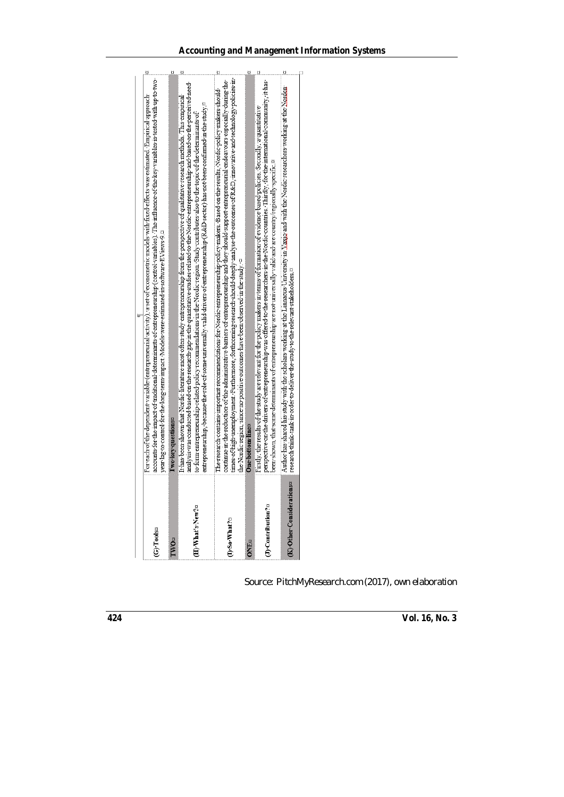| (G) Tools¤                    | accounts for the impact of traditional determinants of entrepreneurship (control variables). The influence of the key variables is tested with up to two-<br>For each of the dependent variable (entrepreneurial activity), a set of econometric models with fixed effects was estimated. Empirical approach<br>year lag to control for the long term impact. Models were estimated in software EV iews 9.¤                                                                                                                                                                                        |  |
|-------------------------------|----------------------------------------------------------------------------------------------------------------------------------------------------------------------------------------------------------------------------------------------------------------------------------------------------------------------------------------------------------------------------------------------------------------------------------------------------------------------------------------------------------------------------------------------------------------------------------------------------|--|
| <b>TWO</b> <sub>2</sub>       | I wo key questions                                                                                                                                                                                                                                                                                                                                                                                                                                                                                                                                                                                 |  |
| (H) What's New?¤              | analysis was conducted based on the research gap in the quantitative studies related to the Nordic entrepreneuship and based on the perceived need<br>It has been shown that Nordic literature most often study entrepreneurship from the perspective of qualitative research methods. This empirical<br>entrepreneurship, because the role of some universally-valid drivers of entrepreneurship (R&D sector) has not been confirmed in the study $n$<br>to form entrepreneurship-related policy recommendations in the Nordic region. Study contributes also to the topic of the determinants of |  |
| (I) So What?¤                 | times of high unemployment. Furthermore, forthcoming research should deeply analyse the outcomes of R&D, innovative and technology policies in<br>continue in the reduction of the administrative barriers of entrepreneurship and they should support entrepreneural endeavours especially during the<br>The research contains important recommendations for Nordic entrepreneurship policy makers. Based on the results, Nordic policy makers should<br>the Nordic region, since no positive outcomes have been observed in the study. ¤                                                         |  |
| <b>ONE</b> <sub>2</sub>       | One-bottom-lines                                                                                                                                                                                                                                                                                                                                                                                                                                                                                                                                                                                   |  |
| (J)-Contribution?¤            | perspective on the drivers of entrepreneurship was offered to the researchers in the Nordic countries. Thirdly, for the international community, it has<br>Firstly, the results of the study are relevant for the policy makers in terms of formation of evidence based policies. Secondly, a quantitative<br>been shown, that some determinants of entrepreneurship are not universally valid and are country/regionally specific.¤                                                                                                                                                               |  |
| ISE<br>K) Other Consideration | Author has shared his study with the scholars working at the Linnaeus University in Vaxio and with the Nordic researchers working at the Norden<br>research think-tank in order to deliver the study to the relevant stakeholders.¤                                                                                                                                                                                                                                                                                                                                                                |  |
|                               |                                                                                                                                                                                                                                                                                                                                                                                                                                                                                                                                                                                                    |  |

| Source: PitchMyResearch.com (2017), own elaboration |  |  |
|-----------------------------------------------------|--|--|
|-----------------------------------------------------|--|--|

**424 Vol. 16, No. 3**

 $\overline{a}$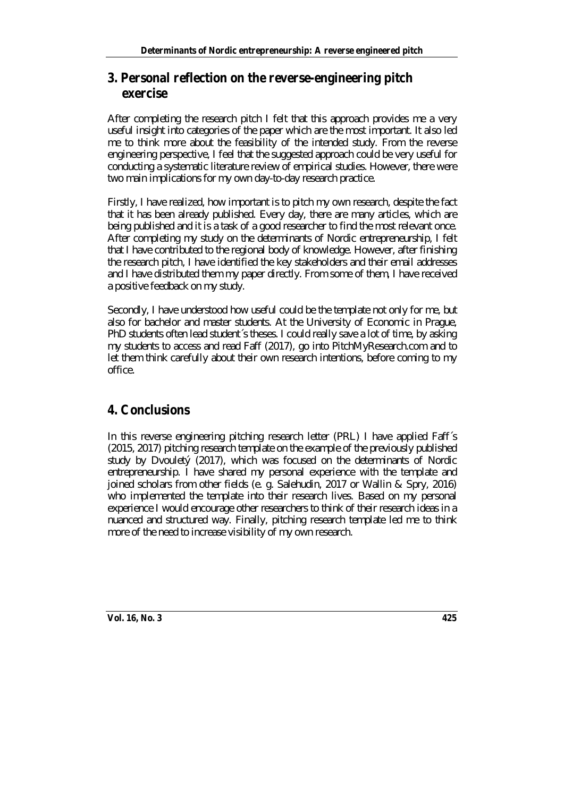### **3. Personal reflection on the reverse-engineering pitch exercise**

After completing the research pitch I felt that this approach provides me a very useful insight into categories of the paper which are the most important. It also led me to think more about the feasibility of the intended study. From the reverse engineering perspective, I feel that the suggested approach could be very useful for conducting a systematic literature review of empirical studies. However, there were two main implications for my own day-to-day research practice.

Firstly, I have realized, how important is to pitch my own research, despite the fact that it has been already published. Every day, there are many articles, which are being published and it is a task of a good researcher to find the most relevant once. After completing my study on the determinants of Nordic entrepreneurship, I felt that I have contributed to the regional body of knowledge. However, after finishing the research pitch, I have identified the key stakeholders and their email addresses and I have distributed them my paper directly. From some of them, I have received a positive feedback on my study.

Secondly, I have understood how useful could be the template not only for me, but also for bachelor and master students. At the University of Economic in Prague, PhD students often lead student´s theses. I could really save a lot of time, by asking my students to access and read Faff (2017), go into PitchMyResearch.com and to let them think carefully about their own research intentions, before coming to my office.

### **4. Conclusions**

In this reverse engineering pitching research letter (PRL) I have applied Faff´s (2015, 2017) pitching research template on the example of the previously published study by Dvouletý (2017), which was focused on the determinants of Nordic entrepreneurship. I have shared my personal experience with the template and joined scholars from other fields (e. g. Salehudin, 2017 or Wallin & Spry, 2016) who implemented the template into their research lives. Based on my personal experience I would encourage other researchers to think of their research ideas in a nuanced and structured way. Finally, pitching research template led me to think more of the need to increase visibility of my own research.

**Vol. 16, No. 3 425**